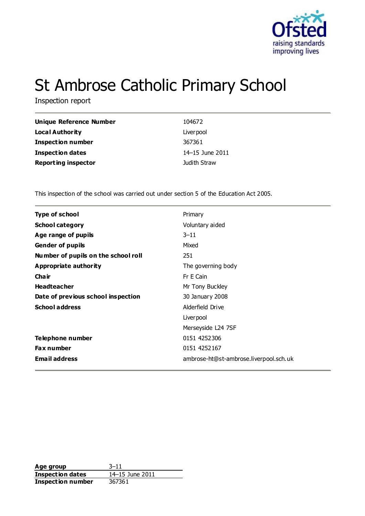

# St Ambrose Catholic Primary School

Inspection report

| Unique Reference Number    | 104672          |
|----------------------------|-----------------|
| <b>Local Authority</b>     | Liver pool      |
| <b>Inspection number</b>   | 367361          |
| <b>Inspection dates</b>    | 14–15 June 2011 |
| <b>Reporting inspector</b> | Judith Straw    |

This inspection of the school was carried out under section 5 of the Education Act 2005.

| <b>Type of school</b>               | Primary                                |
|-------------------------------------|----------------------------------------|
| <b>School category</b>              | Voluntary aided                        |
| Age range of pupils                 | $3 - 11$                               |
| <b>Gender of pupils</b>             | Mixed                                  |
| Number of pupils on the school roll | 251                                    |
| Appropriate authority               | The governing body                     |
| Cha ir                              | Fr E Cain                              |
| <b>Headteacher</b>                  | Mr Tony Buckley                        |
| Date of previous school inspection  | 30 January 2008                        |
| <b>School address</b>               | Alderfield Drive                       |
|                                     | Liver pool                             |
|                                     | Merseyside L24 7SF                     |
| Telephone number                    | 0151 4252306                           |
| Fax number                          | 0151 4252167                           |
| <b>Email address</b>                | ambrose-ht@st-ambrose.liverpool.sch.uk |
|                                     |                                        |

**Age group** 3–11<br> **Inspection dates** 14–15 June 2011 **Inspection dates Inspection number** 367361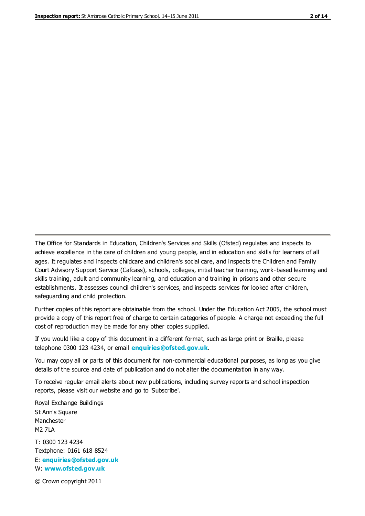The Office for Standards in Education, Children's Services and Skills (Ofsted) regulates and inspects to achieve excellence in the care of children and young people, and in education and skills for learners of all ages. It regulates and inspects childcare and children's social care, and inspects the Children and Family Court Advisory Support Service (Cafcass), schools, colleges, initial teacher training, work-based learning and skills training, adult and community learning, and education and training in prisons and other secure establishments. It assesses council children's services, and inspects services for looked after children, safeguarding and child protection.

Further copies of this report are obtainable from the school. Under the Education Act 2005, the school must provide a copy of this report free of charge to certain categories of people. A charge not exceeding the full cost of reproduction may be made for any other copies supplied.

If you would like a copy of this document in a different format, such as large print or Braille, please telephone 0300 123 4234, or email **[enquiries@ofsted.gov.uk](mailto:enquiries@ofsted.gov.uk)**.

You may copy all or parts of this document for non-commercial educational purposes, as long as you give details of the source and date of publication and do not alter the documentation in any way.

To receive regular email alerts about new publications, including survey reports and school inspection reports, please visit our website and go to 'Subscribe'.

Royal Exchange Buildings St Ann's Square Manchester M2 7LA T: 0300 123 4234 Textphone: 0161 618 8524 E: **[enquiries@ofsted.gov.uk](mailto:enquiries@ofsted.gov.uk)**

W: **[www.ofsted.gov.uk](http://www.ofsted.gov.uk/)**

© Crown copyright 2011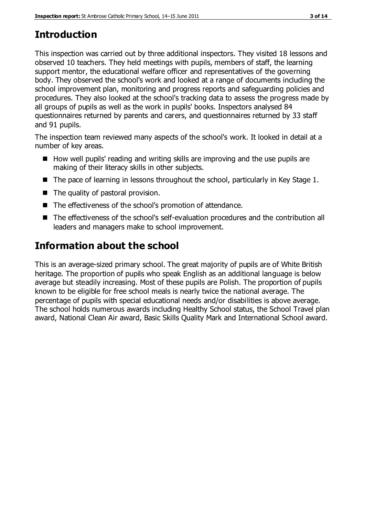# **Introduction**

This inspection was carried out by three additional inspectors. They visited 18 lessons and observed 10 teachers. They held meetings with pupils, members of staff, the learning support mentor, the educational welfare officer and representatives of the governing body. They observed the school's work and looked at a range of documents including the school improvement plan, monitoring and progress reports and safeguarding policies and procedures. They also looked at the school's tracking data to assess the progress made by all groups of pupils as well as the work in pupils' books. Inspectors analysed 84 questionnaires returned by parents and carers, and questionnaires returned by 33 staff and 91 pupils.

The inspection team reviewed many aspects of the school's work. It looked in detail at a number of key areas.

- $\blacksquare$  How well pupils' reading and writing skills are improving and the use pupils are making of their literacy skills in other subjects.
- The pace of learning in lessons throughout the school, particularly in Key Stage 1.
- The quality of pastoral provision.
- The effectiveness of the school's promotion of attendance.
- The effectiveness of the school's self-evaluation procedures and the contribution all leaders and managers make to school improvement.

# **Information about the school**

This is an average-sized primary school. The great majority of pupils are of White British heritage. The proportion of pupils who speak English as an additional language is below average but steadily increasing. Most of these pupils are Polish. The proportion of pupils known to be eligible for free school meals is nearly twice the national average. The percentage of pupils with special educational needs and/or disabilities is above average. The school holds numerous awards including Healthy School status, the School Travel plan award, National Clean Air award, Basic Skills Quality Mark and International School award.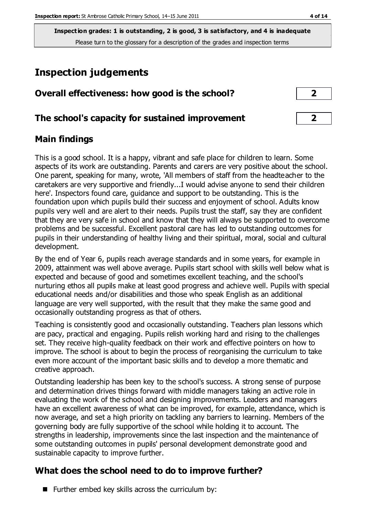# **Inspection judgements**

|  | Overall effectiveness: how good is the school? |  |  |  |  |
|--|------------------------------------------------|--|--|--|--|
|--|------------------------------------------------|--|--|--|--|

### **The school's capacity for sustained improvement 2**

## **Main findings**

This is a good school. It is a happy, vibrant and safe place for children to learn. Some aspects of its work are outstanding. Parents and carers are very positive about the school. One parent, speaking for many, wrote, 'All members of staff from the headteacher to the caretakers are very supportive and friendly...I would advise anyone to send their children here'. Inspectors found care, guidance and support to be outstanding. This is the foundation upon which pupils build their success and enjoyment of school. Adults know pupils very well and are alert to their needs. Pupils trust the staff, say they are confident that they are very safe in school and know that they will always be supported to overcome problems and be successful. Excellent pastoral care has led to outstanding outcomes for pupils in their understanding of healthy living and their spiritual, moral, social and cultural development.

By the end of Year 6, pupils reach average standards and in some years, for example in 2009, attainment was well above average. Pupils start school with skills well below what is expected and because of good and sometimes excellent teaching, and the school's nurturing ethos all pupils make at least good progress and achieve well. Pupils with special educational needs and/or disabilities and those who speak English as an additional language are very well supported, with the result that they make the same good and occasionally outstanding progress as that of others.

Teaching is consistently good and occasionally outstanding. Teachers plan lessons which are pacy, practical and engaging. Pupils relish working hard and rising to the challenges set. They receive high-quality feedback on their work and effective pointers on how to improve. The school is about to begin the process of reorganising the curriculum to take even more account of the important basic skills and to develop a more thematic and creative approach.

Outstanding leadership has been key to the school's success. A strong sense of purpose and determination drives things forward with middle managers taking an active role in evaluating the work of the school and designing improvements. Leaders and managers have an excellent awareness of what can be improved, for example, attendance, which is now average, and set a high priority on tackling any barriers to learning. Members of the governing body are fully supportive of the school while holding it to account. The strengths in leadership, improvements since the last inspection and the maintenance of some outstanding outcomes in pupils' personal development demonstrate good and sustainable capacity to improve further.

# **What does the school need to do to improve further?**

Further embed key skills across the curriculum by: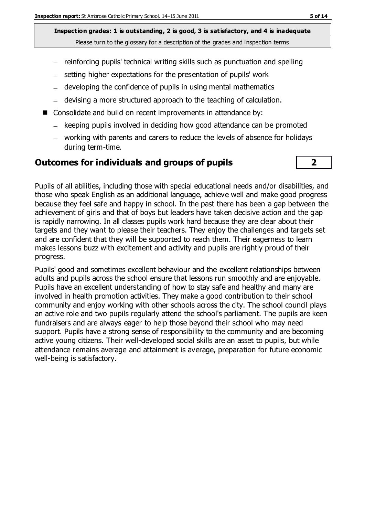- reinforcing pupils' technical writing skills such as punctuation and spelling
- setting higher expectations for the presentation of pupils' work
- developing the confidence of pupils in using mental mathematics
- devising a more structured approach to the teaching of calculation.
- Consolidate and build on recent improvements in attendance by:
	- $-$  keeping pupils involved in deciding how good attendance can be promoted
	- working with parents and carers to reduce the levels of absence for holidays during term-time.

#### **Outcomes for individuals and groups of pupils 2**

Pupils of all abilities, including those with special educational needs and/or disabilities, and those who speak English as an additional language, achieve well and make good progress because they feel safe and happy in school. In the past there has been a gap between the achievement of girls and that of boys but leaders have taken decisive action and the gap is rapidly narrowing. In all classes pupils work hard because they are clear about their targets and they want to please their teachers. They enjoy the challenges and targets set and are confident that they will be supported to reach them. Their eagerness to learn makes lessons buzz with excitement and activity and pupils are rightly proud of their progress.

Pupils' good and sometimes excellent behaviour and the excellent relationships between adults and pupils across the school ensure that lessons run smoothly and are enjoyable. Pupils have an excellent understanding of how to stay safe and healthy and many are involved in health promotion activities. They make a good contribution to their school community and enjoy working with other schools across the city. The school council plays an active role and two pupils regularly attend the school's parliament. The pupils are keen fundraisers and are always eager to help those beyond their school who may need support. Pupils have a strong sense of responsibility to the community and are becoming active young citizens. Their well-developed social skills are an asset to pupils, but while attendance remains average and attainment is average, preparation for future economic well-being is satisfactory.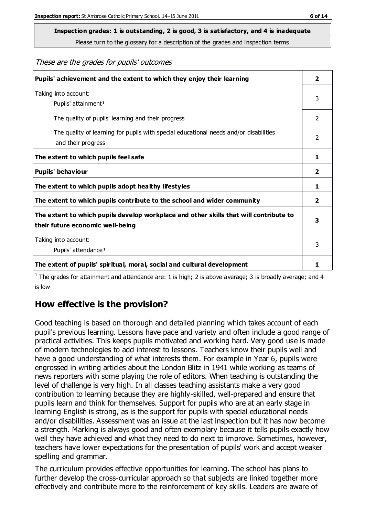**Inspection grades: 1 is outstanding, 2 is good, 3 is satisfactory, and 4 is inadequate**

Please turn to the glossary for a description of the grades and inspection terms

These are the grades for pupils' outcomes

| Pupils' achievement and the extent to which they enjoy their learning                                                     | $\overline{\mathbf{2}}$ |
|---------------------------------------------------------------------------------------------------------------------------|-------------------------|
| Taking into account:<br>Pupils' attainment <sup>1</sup>                                                                   | 3                       |
| The quality of pupils' learning and their progress                                                                        | $\mathcal{P}$           |
| The quality of learning for pupils with special educational needs and/or disabilities<br>and their progress               | $\overline{2}$          |
| The extent to which pupils feel safe                                                                                      | 1                       |
| Pupils' behaviour                                                                                                         | 2                       |
| The extent to which pupils adopt healthy lifestyles                                                                       | 1                       |
| The extent to which pupils contribute to the school and wider community                                                   | 2                       |
| The extent to which pupils develop workplace and other skills that will contribute to<br>their future economic well-being | 3                       |
| Taking into account:<br>Pupils' attendance <sup>1</sup>                                                                   | 3                       |
| The extent of pupils' spiritual, moral, social and cultural development                                                   | 1.                      |

<sup>1</sup> The grades for attainment and attendance are: 1 is high; 2 is above average; 3 is broadly average; and 4 is low

# **How effective is the provision?**

Good teaching is based on thorough and detailed planning which takes account of each pupil's previous learning. Lessons have pace and variety and often include a good range of practical activities. This keeps pupils motivated and working hard. Very good use is made of modern technologies to add interest to lessons. Teachers know their pupils well and have a good understanding of what interests them. For example in Year 6, pupils were engrossed in writing articles about the London Blitz in 1941 while working as teams of news reporters with some playing the role of editors. When teaching is outstanding the level of challenge is very high. In all classes teaching assistants make a very good contribution to learning because they are highly-skilled, well-prepared and ensure that pupils learn and think for themselves. Support for pupils who are at an early stage in learning English is strong, as is the support for pupils with special educational needs and/or disabilities. Assessment was an issue at the last inspection but it has now become a strength. Marking is always good and often exemplary because it tells pupils exactly how well they have achieved and what they need to do next to improve. Sometimes, however, teachers have lower expectations for the presentation of pupils' work and accept weaker spelling and grammar.

The curriculum provides effective opportunities for learning. The school has plans to further develop the cross-curricular approach so that subjects are linked together more effectively and contribute more to the reinforcement of key skills. Leaders are aware of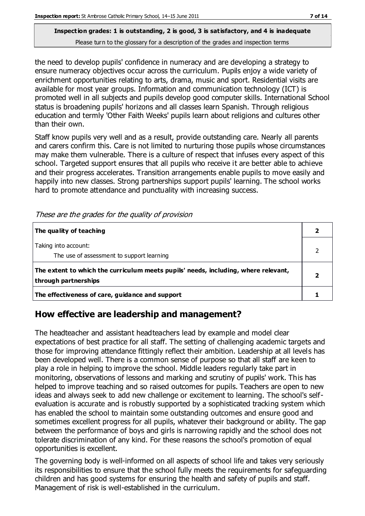the need to develop pupils' confidence in numeracy and are developing a strategy to ensure numeracy objectives occur across the curriculum. Pupils enjoy a wide variety of enrichment opportunities relating to arts, drama, music and sport. Residential visits are available for most year groups. Information and communication technology (ICT) is promoted well in all subjects and pupils develop good computer skills. International School status is broadening pupils' horizons and all classes learn Spanish. Through religious education and termly 'Other Faith Weeks' pupils learn about religions and cultures other than their own.

Staff know pupils very well and as a result, provide outstanding care. Nearly all parents and carers confirm this. Care is not limited to nurturing those pupils whose circumstances may make them vulnerable. There is a culture of respect that infuses every aspect of this school. Targeted support ensures that all pupils who receive it are better able to achieve and their progress accelerates. Transition arrangements enable pupils to move easily and happily into new classes. Strong partnerships support pupils' learning. The school works hard to promote attendance and punctuality with increasing success.

| The quality of teaching                                                                                    |  |
|------------------------------------------------------------------------------------------------------------|--|
| Taking into account:<br>The use of assessment to support learning                                          |  |
| The extent to which the curriculum meets pupils' needs, including, where relevant,<br>through partnerships |  |
| The effectiveness of care, guidance and support                                                            |  |

These are the grades for the quality of provision

# **How effective are leadership and management?**

The headteacher and assistant headteachers lead by example and model clear expectations of best practice for all staff. The setting of challenging academic targets and those for improving attendance fittingly reflect their ambition. Leadership at all levels has been developed well. There is a common sense of purpose so that all staff are keen to play a role in helping to improve the school. Middle leaders regularly take part in monitoring, observations of lessons and marking and scrutiny of pupils' work. This has helped to improve teaching and so raised outcomes for pupils. Teachers are open to new ideas and always seek to add new challenge or excitement to learning. The school's selfevaluation is accurate and is robustly supported by a sophisticated tracking system which has enabled the school to maintain some outstanding outcomes and ensure good and sometimes excellent progress for all pupils, whatever their background or ability. The gap between the performance of boys and girls is narrowing rapidly and the school does not tolerate discrimination of any kind. For these reasons the school's promotion of equal opportunities is excellent.

The governing body is well-informed on all aspects of school life and takes very seriously its responsibilities to ensure that the school fully meets the requirements for safeguarding children and has good systems for ensuring the health and safety of pupils and staff. Management of risk is well-established in the curriculum.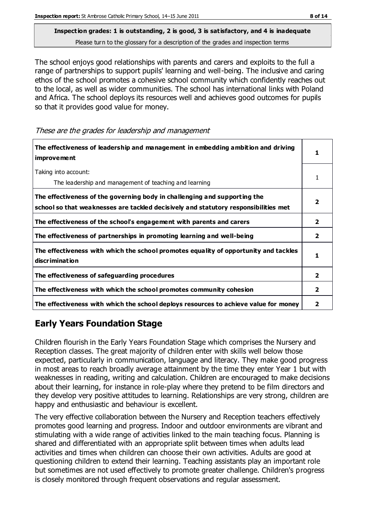The school enjoys good relationships with parents and carers and exploits to the full a range of partnerships to support pupils' learning and well-being. The inclusive and caring ethos of the school promotes a cohesive school community which confidently reaches out to the local, as well as wider communities. The school has international links with Poland and Africa. The school deploys its resources well and achieves good outcomes for pupils so that it provides good value for money.

These are the grades for leadership and management

| The effectiveness of leadership and management in embedding ambition and driving<br>improvement                                                                  |                |
|------------------------------------------------------------------------------------------------------------------------------------------------------------------|----------------|
| Taking into account:<br>The leadership and management of teaching and learning                                                                                   |                |
| The effectiveness of the governing body in challenging and supporting the<br>school so that weaknesses are tackled decisively and statutory responsibilities met |                |
| The effectiveness of the school's engagement with parents and carers                                                                                             | 2              |
| The effectiveness of partnerships in promoting learning and well-being                                                                                           | $\overline{2}$ |
| The effectiveness with which the school promotes equality of opportunity and tackles<br>discrimination                                                           | 1.             |
| The effectiveness of safeguarding procedures                                                                                                                     | $\mathbf{2}$   |
| The effectiveness with which the school promotes community cohesion                                                                                              | 2              |
| The effectiveness with which the school deploys resources to achieve value for money                                                                             | 2              |

# **Early Years Foundation Stage**

Children flourish in the Early Years Foundation Stage which comprises the Nursery and Reception classes. The great majority of children enter with skills well below those expected, particularly in communication, language and literacy. They make good progress in most areas to reach broadly average attainment by the time they enter Year 1 but with weaknesses in reading, writing and calculation. Children are encouraged to make decisions about their learning, for instance in role-play where they pretend to be film directors and they develop very positive attitudes to learning. Relationships are very strong, children are happy and enthusiastic and behaviour is excellent.

The very effective collaboration between the Nursery and Reception teachers effectively promotes good learning and progress. Indoor and outdoor environments are vibrant and stimulating with a wide range of activities linked to the main teaching focus. Planning is shared and differentiated with an appropriate split between times when adults lead activities and times when children can choose their own activities. Adults are good at questioning children to extend their learning. Teaching assistants play an important role but sometimes are not used effectively to promote greater challenge. Children's progress is closely monitored through frequent observations and regular assessment.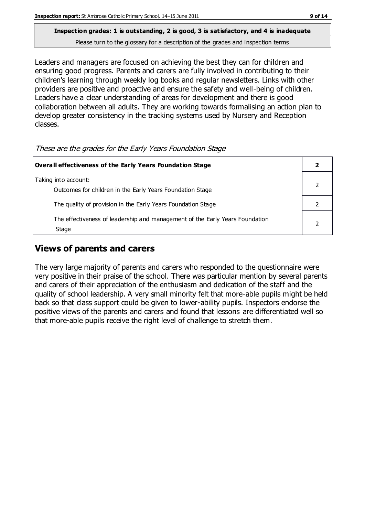# **Inspection grades: 1 is outstanding, 2 is good, 3 is satisfactory, and 4 is inadequate**

Please turn to the glossary for a description of the grades and inspection terms

Leaders and managers are focused on achieving the best they can for children and ensuring good progress. Parents and carers are fully involved in contributing to their children's learning through weekly log books and regular newsletters. Links with other providers are positive and proactive and ensure the safety and well-being of children. Leaders have a clear understanding of areas for development and there is good collaboration between all adults. They are working towards formalising an action plan to develop greater consistency in the tracking systems used by Nursery and Reception classes.

These are the grades for the Early Years Foundation Stage

| Overall effectiveness of the Early Years Foundation Stage                             |  |
|---------------------------------------------------------------------------------------|--|
| Taking into account:<br>Outcomes for children in the Early Years Foundation Stage     |  |
| The quality of provision in the Early Years Foundation Stage                          |  |
| The effectiveness of leadership and management of the Early Years Foundation<br>Stage |  |

# **Views of parents and carers**

The very large majority of parents and carers who responded to the questionnaire were very positive in their praise of the school. There was particular mention by several parents and carers of their appreciation of the enthusiasm and dedication of the staff and the quality of school leadership. A very small minority felt that more-able pupils might be held back so that class support could be given to lower-ability pupils. Inspectors endorse the positive views of the parents and carers and found that lessons are differentiated well so that more-able pupils receive the right level of challenge to stretch them.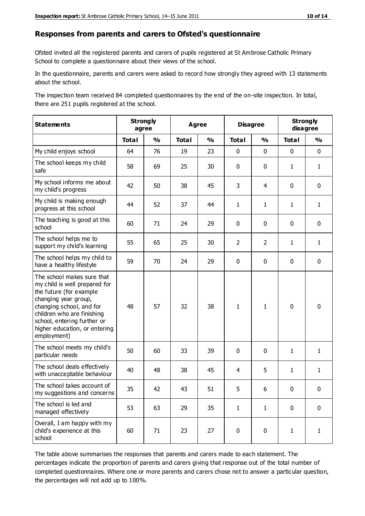#### **Responses from parents and carers to Ofsted's questionnaire**

Ofsted invited all the registered parents and carers of pupils registered at St Ambrose Catholic Primary School to complete a questionnaire about their views of the school.

In the questionnaire, parents and carers were asked to record how strongly they agreed with 13 statements about the school.

The inspection team received 84 completed questionnaires by the end of the on-site inspection. In total, there are 251 pupils registered at the school.

| <b>Statements</b>                                                                                                                                                                                                                                       | <b>Strongly</b><br>agree |               | <b>Agree</b> |                         | <b>Disagree</b> |                | <b>Strongly</b><br>disagree |               |
|---------------------------------------------------------------------------------------------------------------------------------------------------------------------------------------------------------------------------------------------------------|--------------------------|---------------|--------------|-------------------------|-----------------|----------------|-----------------------------|---------------|
|                                                                                                                                                                                                                                                         | <b>Total</b>             | $\frac{1}{2}$ | <b>Total</b> | $\mathbf{O}/\mathbf{o}$ | <b>Total</b>    | $\frac{1}{2}$  | <b>Total</b>                | $\frac{1}{2}$ |
| My child enjoys school                                                                                                                                                                                                                                  | 64                       | 76            | 19           | 23                      | 0               | $\mathbf 0$    | $\mathbf 0$                 | $\mathbf 0$   |
| The school keeps my child<br>safe                                                                                                                                                                                                                       | 58                       | 69            | 25           | 30                      | 0               | $\mathbf 0$    | $\mathbf{1}$                | $\mathbf{1}$  |
| My school informs me about<br>my child's progress                                                                                                                                                                                                       | 42                       | 50            | 38           | 45                      | 3               | 4              | $\mathbf 0$                 | $\mathbf 0$   |
| My child is making enough<br>progress at this school                                                                                                                                                                                                    | 44                       | 52            | 37           | 44                      | $\mathbf{1}$    | 1              | $\mathbf{1}$                | $\mathbf{1}$  |
| The teaching is good at this<br>school                                                                                                                                                                                                                  | 60                       | 71            | 24           | 29                      | 0               | 0              | $\mathbf 0$                 | $\mathbf 0$   |
| The school helps me to<br>support my child's learning                                                                                                                                                                                                   | 55                       | 65            | 25           | 30                      | $\overline{2}$  | $\overline{2}$ | 1                           | $\mathbf{1}$  |
| The school helps my child to<br>have a healthy lifestyle                                                                                                                                                                                                | 59                       | 70            | 24           | 29                      | 0               | 0              | $\mathbf 0$                 | $\mathbf 0$   |
| The school makes sure that<br>my child is well prepared for<br>the future (for example<br>changing year group,<br>changing school, and for<br>children who are finishing<br>school, entering further or<br>higher education, or entering<br>employment) | 48                       | 57            | 32           | 38                      | 1               | 1              | $\mathbf 0$                 | $\mathbf 0$   |
| The school meets my child's<br>particular needs                                                                                                                                                                                                         | 50                       | 60            | 33           | 39                      | 0               | $\mathbf 0$    | $\mathbf{1}$                | $\mathbf{1}$  |
| The school deals effectively<br>with unacceptable behaviour                                                                                                                                                                                             | 40                       | 48            | 38           | 45                      | 4               | 5              | $\mathbf{1}$                | $\mathbf{1}$  |
| The school takes account of<br>my suggestions and concerns                                                                                                                                                                                              | 35                       | 42            | 43           | 51                      | 5               | 6              | $\Omega$                    | $\Omega$      |
| The school is led and<br>managed effectively                                                                                                                                                                                                            | 53                       | 63            | 29           | 35                      | $\mathbf{1}$    | $\mathbf{1}$   | $\mathbf 0$                 | $\mathbf 0$   |
| Overall, I am happy with my<br>child's experience at this<br>school                                                                                                                                                                                     | 60                       | 71            | 23           | 27                      | 0               | $\mathbf 0$    | $\mathbf{1}$                | $\mathbf{1}$  |

The table above summarises the responses that parents and carers made to each statement. The percentages indicate the proportion of parents and carers giving that response out of the total number of completed questionnaires. Where one or more parents and carers chose not to answer a particular question, the percentages will not add up to 100%.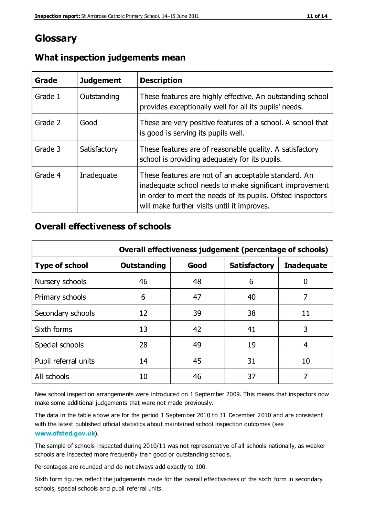# **Glossary**

| Grade   | <b>Judgement</b> | <b>Description</b>                                                                                                                                                                                                            |
|---------|------------------|-------------------------------------------------------------------------------------------------------------------------------------------------------------------------------------------------------------------------------|
| Grade 1 | Outstanding      | These features are highly effective. An outstanding school<br>provides exceptionally well for all its pupils' needs.                                                                                                          |
| Grade 2 | Good             | These are very positive features of a school. A school that<br>is good is serving its pupils well.                                                                                                                            |
| Grade 3 | Satisfactory     | These features are of reasonable quality. A satisfactory<br>school is providing adequately for its pupils.                                                                                                                    |
| Grade 4 | Inadequate       | These features are not of an acceptable standard. An<br>inadequate school needs to make significant improvement<br>in order to meet the needs of its pupils. Ofsted inspectors<br>will make further visits until it improves. |

### **What inspection judgements mean**

## **Overall effectiveness of schools**

|                       | Overall effectiveness judgement (percentage of schools) |      |                     |                   |
|-----------------------|---------------------------------------------------------|------|---------------------|-------------------|
| <b>Type of school</b> | <b>Outstanding</b>                                      | Good | <b>Satisfactory</b> | <b>Inadequate</b> |
| Nursery schools       | 46                                                      | 48   | 6                   |                   |
| Primary schools       | 6                                                       | 47   | 40                  | 7                 |
| Secondary schools     | 12                                                      | 39   | 38                  | 11                |
| Sixth forms           | 13                                                      | 42   | 41                  | 3                 |
| Special schools       | 28                                                      | 49   | 19                  | 4                 |
| Pupil referral units  | 14                                                      | 45   | 31                  | 10                |
| All schools           | 10                                                      | 46   | 37                  |                   |

New school inspection arrangements were introduced on 1 September 2009. This means that inspectors now make some additional judgements that were not made previously.

The data in the table above are for the period 1 September 2010 to 31 December 2010 and are consistent with the latest published official statistics about maintained school inspection outcomes (see **[www.ofsted.gov.uk](http://www.ofsted.gov.uk/)**).

The sample of schools inspected during 2010/11 was not representative of all schools nationally, as weaker schools are inspected more frequently than good or outstanding schools.

Percentages are rounded and do not always add exactly to 100.

Sixth form figures reflect the judgements made for the overall effectiveness of the sixth form in secondary schools, special schools and pupil referral units.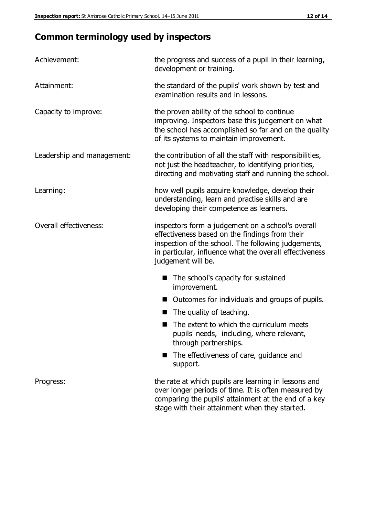# **Common terminology used by inspectors**

| Achievement:               | the progress and success of a pupil in their learning,<br>development or training.                                                                                                                                                          |
|----------------------------|---------------------------------------------------------------------------------------------------------------------------------------------------------------------------------------------------------------------------------------------|
| Attainment:                | the standard of the pupils' work shown by test and<br>examination results and in lessons.                                                                                                                                                   |
| Capacity to improve:       | the proven ability of the school to continue<br>improving. Inspectors base this judgement on what<br>the school has accomplished so far and on the quality<br>of its systems to maintain improvement.                                       |
| Leadership and management: | the contribution of all the staff with responsibilities,<br>not just the headteacher, to identifying priorities,<br>directing and motivating staff and running the school.                                                                  |
| Learning:                  | how well pupils acquire knowledge, develop their<br>understanding, learn and practise skills and are<br>developing their competence as learners.                                                                                            |
| Overall effectiveness:     | inspectors form a judgement on a school's overall<br>effectiveness based on the findings from their<br>inspection of the school. The following judgements,<br>in particular, influence what the overall effectiveness<br>judgement will be. |
|                            | The school's capacity for sustained<br>improvement.                                                                                                                                                                                         |
|                            | Outcomes for individuals and groups of pupils.                                                                                                                                                                                              |
|                            | The quality of teaching.                                                                                                                                                                                                                    |
|                            | The extent to which the curriculum meets<br>pupils' needs, including, where relevant,<br>through partnerships.                                                                                                                              |
|                            | The effectiveness of care, guidance and<br>support.                                                                                                                                                                                         |
| Progress:                  | the rate at which pupils are learning in lessons and<br>over longer periods of time. It is often measured by<br>comparing the pupils' attainment at the end of a key                                                                        |

stage with their attainment when they started.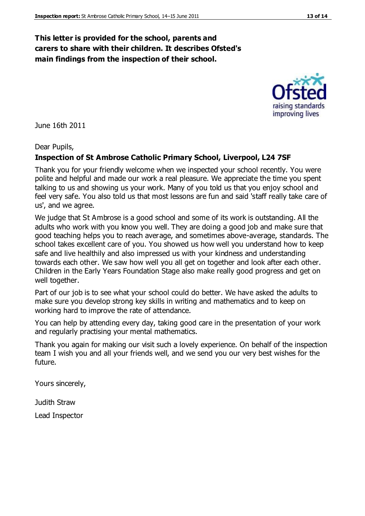### **This letter is provided for the school, parents and carers to share with their children. It describes Ofsted's main findings from the inspection of their school.**

June 16th 2011

#### Dear Pupils,

#### **Inspection of St Ambrose Catholic Primary School, Liverpool, L24 7SF**

Thank you for your friendly welcome when we inspected your school recently. You were polite and helpful and made our work a real pleasure. We appreciate the time you spent talking to us and showing us your work. Many of you told us that you enjoy school and feel very safe. You also told us that most lessons are fun and said 'staff really take care of us', and we agree.

We judge that St Ambrose is a good school and some of its work is outstanding. All the adults who work with you know you well. They are doing a good job and make sure that good teaching helps you to reach average, and sometimes above-average, standards. The school takes excellent care of you. You showed us how well you understand how to keep safe and live healthily and also impressed us with your kindness and understanding towards each other. We saw how well you all get on together and look after each other. Children in the Early Years Foundation Stage also make really good progress and get on well together.

Part of our job is to see what your school could do better. We have asked the adults to make sure you develop strong key skills in writing and mathematics and to keep on working hard to improve the rate of attendance.

You can help by attending every day, taking good care in the presentation of your work and regularly practising your mental mathematics.

Thank you again for making our visit such a lovely experience. On behalf of the inspection team I wish you and all your friends well, and we send you our very best wishes for the future.

Yours sincerely,

Judith Straw

Lead Inspector